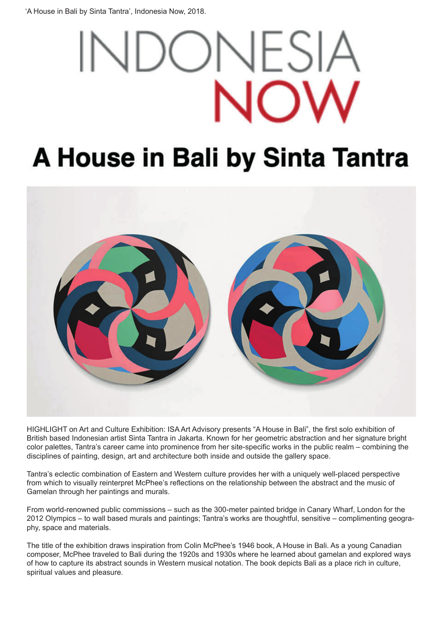'A House in Bali by Sinta Tantra', Indonesia Now, 2018.

# FS

## A House in Bali by Sinta Tantra



HIGHLIGHT on Art and Culture Exhibition: ISA Art Advisory presents "A House in Bali", the first solo exhibition of British based Indonesian artist Sinta Tantra in Jakarta. Known for her geometric abstraction and her signature bright color palettes, Tantra's career came into prominence from her site-specific works in the public realm – combining the disciplines of painting, design, art and architecture both inside and outside the gallery space.

Tantra's eclectic combination of Eastern and Western culture provides her with a uniquely well-placed perspective from which to visually reinterpret McPhee's reflections on the relationship between the abstract and the music of Gamelan through her paintings and murals.

From world-renowned public commissions – such as the 300-meter painted bridge in Canary Wharf, London for the 2012 Olympics – to wall based murals and paintings; Tantra's works are thoughtful, sensitive – complimenting geography, space and materials.

The title of the exhibition draws inspiration from Colin McPhee's 1946 book, A House in Bali. As a young Canadian composer, McPhee traveled to Bali during the 1920s and 1930s where he learned about gamelan and explored ways of how to capture its abstract sounds in Western musical notation. The book depicts Bali as a place rich in culture, spiritual values and pleasure.